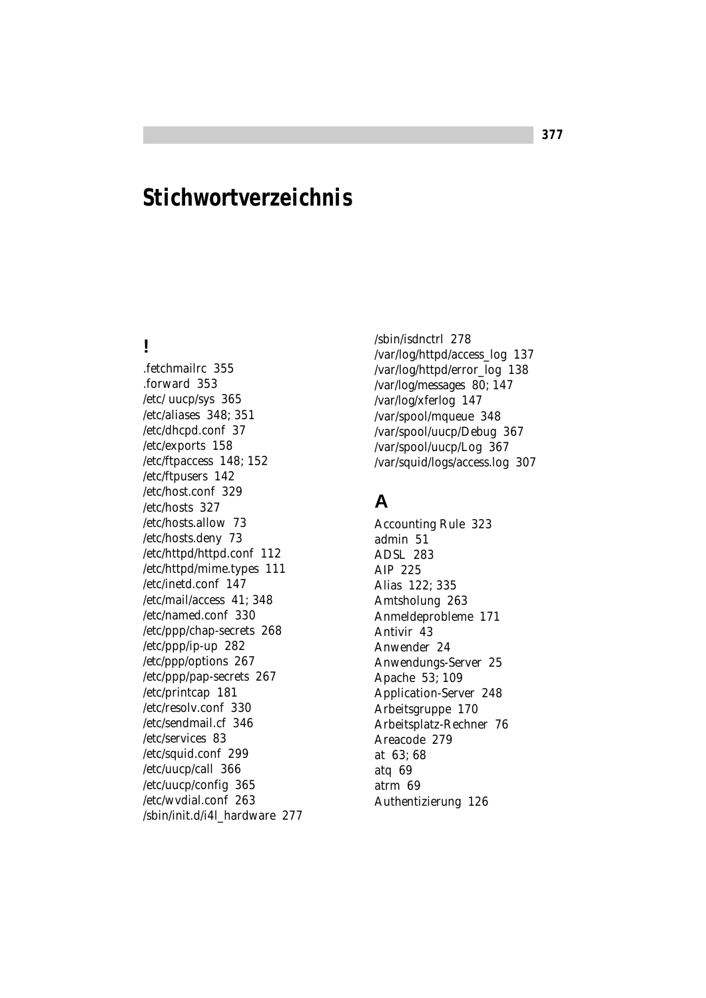# **Stichwortverzeichnis**

### **!**

.fetchmailrc 355 .forward 353 /etc/ uucp/sys 365 /etc/aliases 348; 351 /etc/dhcpd.conf 37 /etc/exports 158 /etc/ftpaccess 148; 152 /etc/ftpusers 142 /etc/host.conf 329 /etc/hosts 327 /etc/hosts.allow 73 /etc/hosts.deny 73 /etc/httpd/httpd.conf 112 /etc/httpd/mime.types 111 /etc/inetd.conf 147 /etc/mail/access 41; 348 /etc/named.conf 330 /etc/ppp/chap-secrets 268 /etc/ppp/ip-up 282 /etc/ppp/options 267 /etc/ppp/pap-secrets 267 /etc/printcap 181 /etc/resolv.conf 330 /etc/sendmail.cf 346 /etc/services 83 /etc/squid.conf 299 /etc/uucp/call 366 /etc/uucp/config 365 /etc/wvdial.conf 263 /sbin/init.d/i4l\_hardware 277 /sbin/isdnctrl 278 /var/log/httpd/access\_log 137 /var/log/httpd/error\_log 138 /var/log/messages 80; 147 /var/log/xferlog 147 /var/spool/mqueue 348 /var/spool/uucp/Debug 367 /var/spool/uucp/Log 367 /var/squid/logs/access.log 307

#### **A**

Accounting Rule 323 admin 51 ADSL 283 AIP 225 Alias 122; 335 Amtsholung 263 Anmeldeprobleme 171 Antivir 43 Anwender 24 Anwendungs-Server 25 Apache 53; 109 Application-Server 248 Arbeitsgruppe 170 Arbeitsplatz-Rechner 76 Areacode 279 at 63; 68 atq 69 atrm 69 Authentizierung 126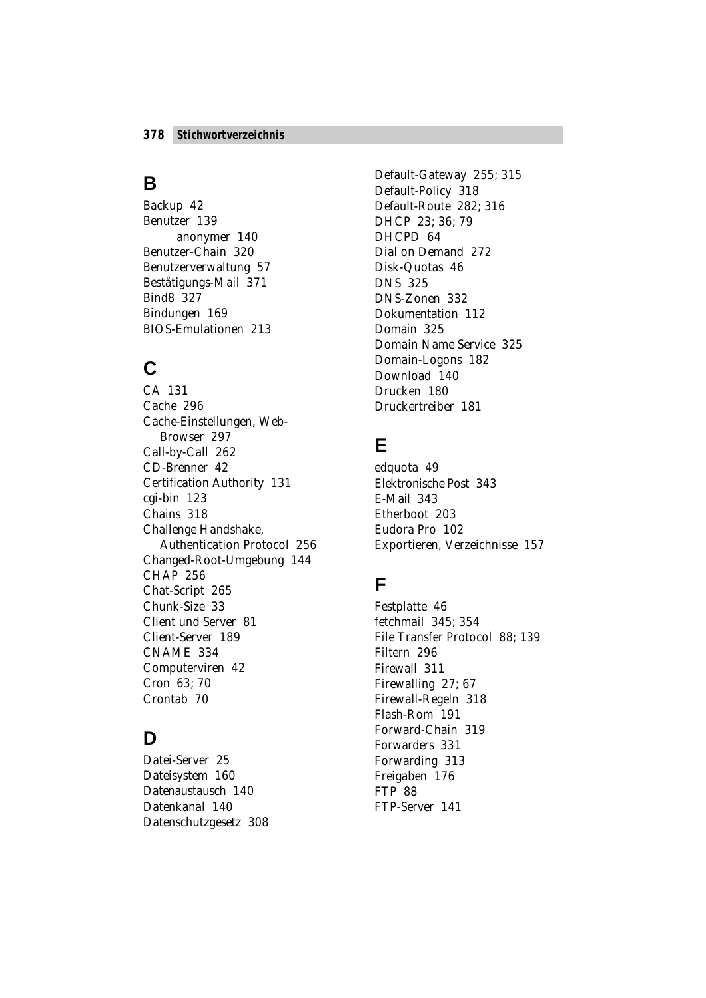#### **B**

Backup 42 Benutzer 139 anonymer 140 Benutzer-Chain 320 Benutzerverwaltung 57 Bestätigungs-Mail 371 Bind8 327 Bindungen 169 BIOS-Emulationen 213

## **C**

CA 131 Cache 296 Cache-Einstellungen, Web-Browser 297 Call-by-Call 262 CD-Brenner 42 Certification Authority 131 cgi-bin 123 Chains 318 Challenge Handshake, Authentication Protocol 256 Changed-Root-Umgebung 144 CHAP 256 Chat-Script 265 Chunk-Size 33 Client und Server 81 Client-Server 189 CNAME 334 Computerviren 42 Cron 63; 70 Crontab 70

### **D**

Datei-Server 25 Dateisystem 160 Datenaustausch 140 Datenkanal 140 Datenschutzgesetz 308 Default-Gateway 255; 315 Default-Policy 318 Default-Route 282; 316 DHCP 23; 36; 79 DHCPD 64 Dial on Demand 272 Disk-Quotas 46 DNS 325 DNS-Zonen 332 Dokumentation 112 Domain 325 Domain Name Service 325 Domain-Logons 182 Download 140 Drucken 180 Druckertreiber 181

## **E**

edquota 49 Elektronische Post 343 E-Mail 343 Etherboot 203 Eudora Pro 102 Exportieren, Verzeichnisse 157

### **F**

Festplatte 46 fetchmail 345; 354 File Transfer Protocol 88; 139 Filtern 296 Firewall 311 Firewalling 27; 67 Firewall-Regeln 318 Flash-Rom 191 Forward-Chain 319 Forwarders 331 Forwarding 313 Freigaben 176 FTP 88 FTP-Server 141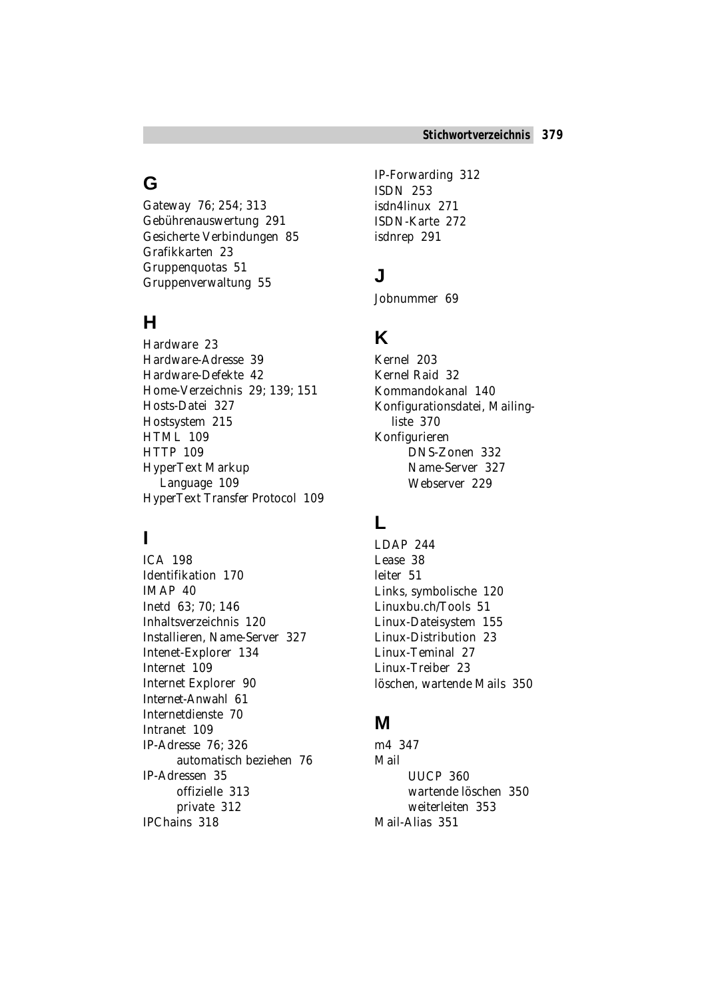### **G**

Gateway 76; 254; 313 Gebührenauswertung 291 Gesicherte Verbindungen 85 Grafikkarten 23 Gruppenquotas 51 Gruppenverwaltung 55

### **H**

Hardware 23 Hardware-Adresse 39 Hardware-Defekte 42 Home-Verzeichnis 29; 139; 151 Hosts-Datei 327 Hostsystem 215 HTML 109 HTTP 109 HyperText Markup Language 109 HyperText Transfer Protocol 109

### **I**

ICA 198 Identifikation 170 IMAP 40 Inetd 63; 70; 146 Inhaltsverzeichnis 120 Installieren, Name-Server 327 Intenet-Explorer 134 Internet 109 Internet Explorer 90 Internet-Anwahl 61 Internetdienste 70 Intranet 109 IP-Adresse 76; 326 automatisch beziehen 76 IP-Adressen 35 offizielle 313 private 312 IPChains 318

IP-Forwarding 312 ISDN 253 isdn4linux 271 ISDN-Karte 272 isdnrep 291

### **J**

Jobnummer 69

### **K**

Kernel 203 Kernel Raid 32 Kommandokanal 140 Konfigurationsdatei, Mailingliste 370 Konfigurieren DNS-Zonen 332 Name-Server 327 Webserver 229

#### **L**

LDAP 244 Lease 38 leiter 51 Links, symbolische 120 Linuxbu.ch/Tools 51 Linux-Dateisystem 155 Linux-Distribution 23 Linux-Teminal 27 Linux-Treiber 23 löschen, wartende Mails 350

#### **M**

m4 347 Mail UUCP 360 wartende löschen 350 weiterleiten 353 Mail-Alias 351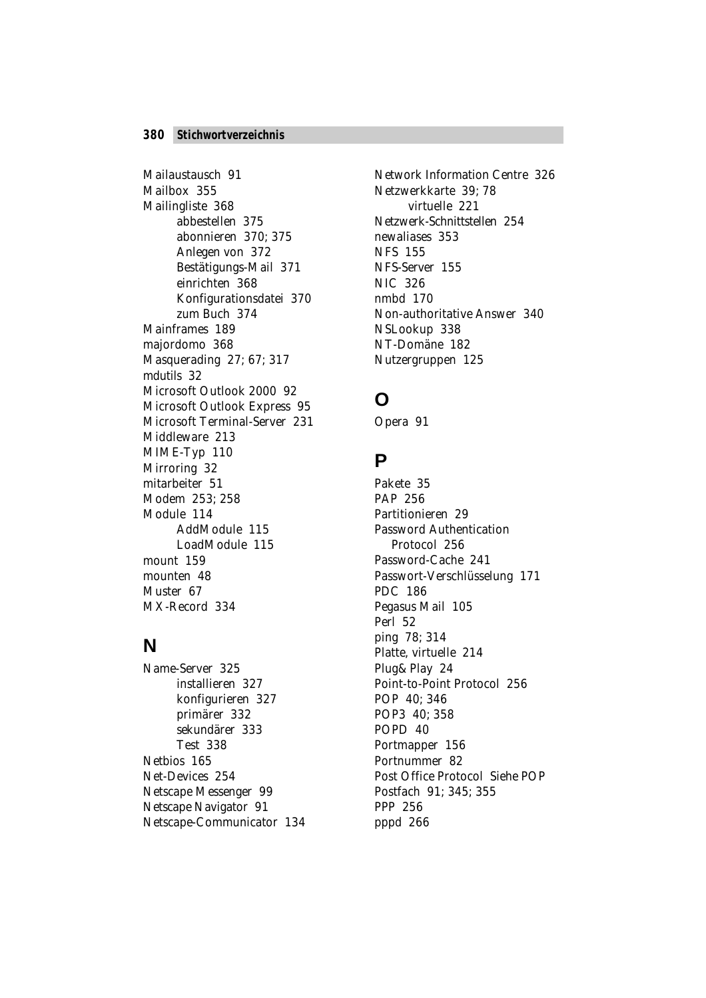Mailaustausch 91 Mailbox 355 Mailingliste 368 abbestellen 375 abonnieren 370; 375 Anlegen von 372 Bestätigungs-Mail 371 einrichten 368 Konfigurationsdatei 370 zum Buch 374 Mainframes 189 majordomo 368 Masquerading 27; 67; 317 mdutils 32 Microsoft Outlook 2000 92 Microsoft Outlook Express 95 Microsoft Terminal-Server 231 Middleware 213 MIME-Typ 110 Mirroring 32 mitarbeiter 51 Modem 253; 258 Module 114 AddModule 115 LoadModule 115 mount 159 mounten 48 Muster 67 MX-Record 334

#### **N**

Name-Server 325 installieren 327 konfigurieren 327 primärer 332 sekundärer 333 Test 338 Netbios 165 Net-Devices 254 Netscape Messenger 99 Netscape Navigator 91 Netscape-Communicator 134

Network Information Centre 326 Netzwerkkarte 39; 78 virtuelle 221 Netzwerk-Schnittstellen 254 newaliases 353 NFS 155 NFS-Server 155 NIC 326 nmbd 170 Non-authoritative Answer 340 NSLookup 338 NT-Domäne 182 Nutzergruppen 125

### **O**

Opera 91

#### **P**

Pakete 35 PAP 256 Partitionieren 29 Password Authentication Protocol 256 Password-Cache 241 Passwort-Verschlüsselung 171 PDC 186 Pegasus Mail 105 Perl 52 ping 78; 314 Platte, virtuelle 214 Plug&Play 24 Point-to-Point Protocol 256 POP 40; 346 POP3 40; 358 POPD 40 Portmapper 156 Portnummer 82 Post Office Protocol *Siehe* POP Postfach 91; 345; 355 PPP 256 pppd 266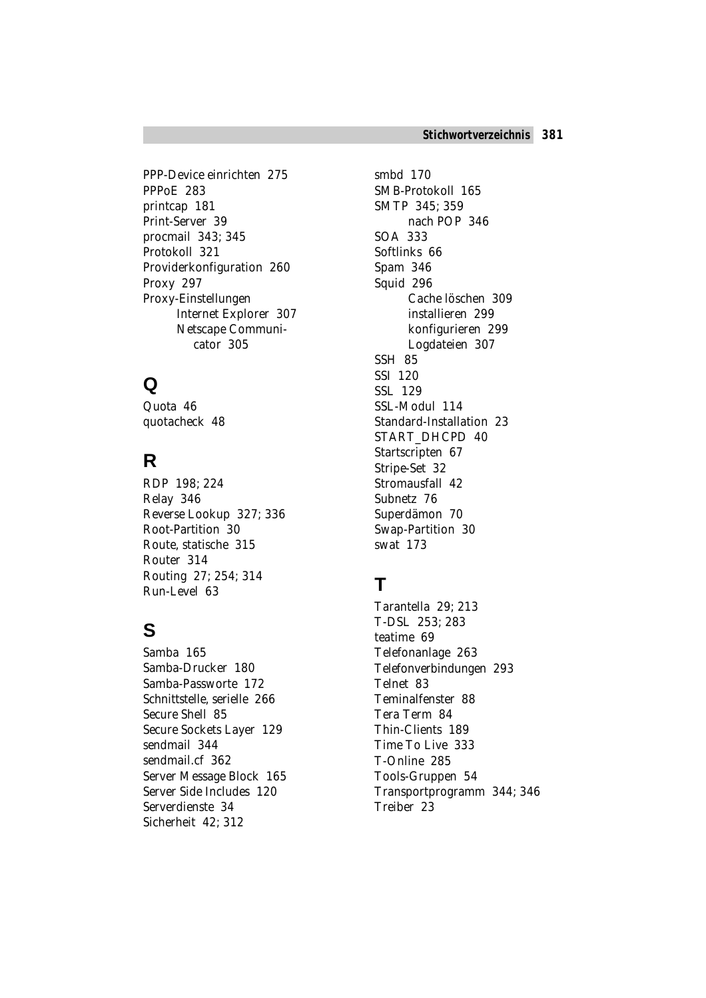PPP-Device einrichten 275 PPPoE 283 printcap 181 Print-Server 39 procmail 343; 345 Protokoll 321 Providerkonfiguration 260 Proxy 297 Proxy-Einstellungen Internet Explorer 307 Netscape Communicator 305

## **Q**

Quota 46 quotacheck 48

## **R**

RDP 198; 224 Relay 346 Reverse Lookup 327; 336 Root-Partition 30 Route, statische 315 Router 314 Routing 27; 254; 314 Run-Level 63

## **S**

Samba 165 Samba-Drucker 180 Samba-Passworte 172 Schnittstelle, serielle 266 Secure Shell 85 Secure Sockets Layer 129 sendmail 344 sendmail.cf 362 Server Message Block 165 Server Side Includes 120 Serverdienste 34 Sicherheit 42; 312

smbd 170 SMB-Protokoll 165 SMTP 345; 359 nach POP 346 SOA 333 Softlinks 66 Spam 346 Squid 296 Cache löschen 309 installieren 299 konfigurieren 299 Logdateien 307 SSH 85 SSI 120 SSL 129 SSL-Modul 114 Standard-Installation 23 START\_DHCPD 40 Startscripten 67 Stripe-Set 32 Stromausfall 42 Subnetz 76 Superdämon 70 Swap-Partition 30 swat 173

### **T**

Tarantella 29; 213 T-DSL 253; 283 teatime 69 Telefonanlage 263 Telefonverbindungen 293 Telnet 83 Teminalfenster 88 Tera Term 84 Thin-Clients 189 Time To Live 333 T-Online 285 Tools-Gruppen 54 Transportprogramm 344; 346 Treiber 23